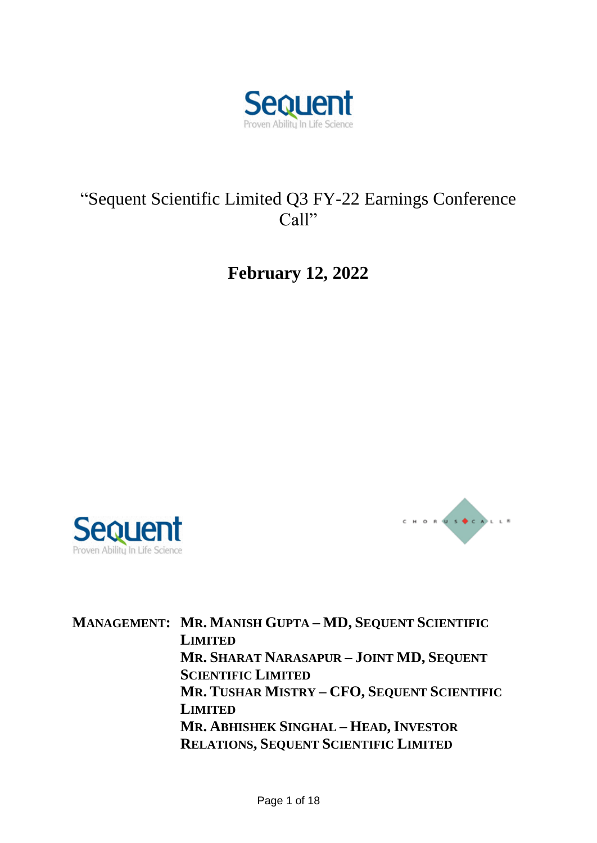

# "Sequent Scientific Limited Q3 FY-22 Earnings Conference Call"

**February 12, 2022**





**MANAGEMENT: MR. MANISH GUPTA – MD, SEQUENT SCIENTIFIC LIMITED MR. SHARAT NARASAPUR – JOINT MD, SEQUENT SCIENTIFIC LIMITED MR. TUSHAR MISTRY – CFO, SEQUENT SCIENTIFIC LIMITED MR. ABHISHEK SINGHAL – HEAD, INVESTOR RELATIONS, SEQUENT SCIENTIFIC LIMITED**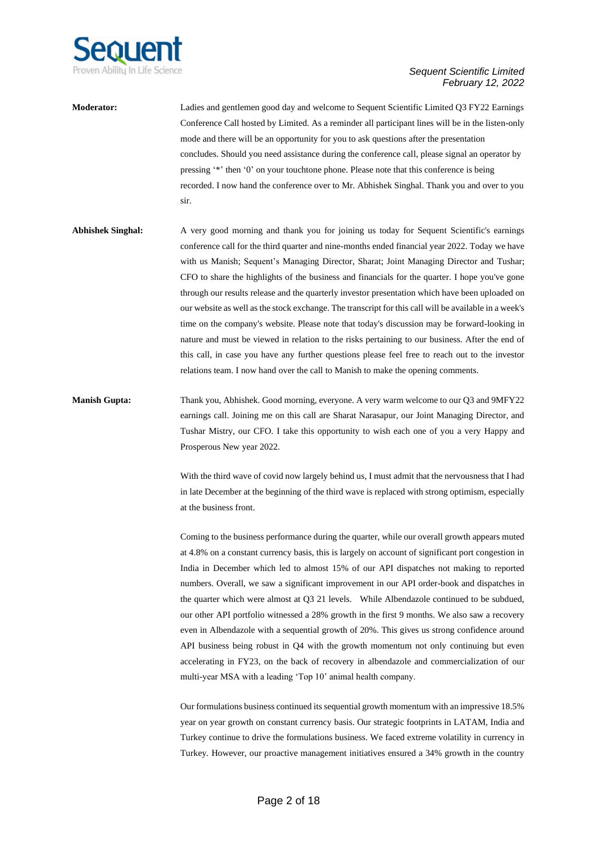

**Moderator:** Ladies and gentlemen good day and welcome to Sequent Scientific Limited Q3 FY22 Earnings Conference Call hosted by Limited. As a reminder all participant lines will be in the listen-only mode and there will be an opportunity for you to ask questions after the presentation concludes. Should you need assistance during the conference call, please signal an operator by pressing '\*' then '0' on your touchtone phone. Please note that this conference is being recorded. I now hand the conference over to Mr. Abhishek Singhal. Thank you and over to you sir.

**Abhishek Singhal:** A very good morning and thank you for joining us today for Sequent Scientific's earnings conference call for the third quarter and nine-months ended financial year 2022. Today we have with us Manish; Sequent's Managing Director, Sharat; Joint Managing Director and Tushar; CFO to share the highlights of the business and financials for the quarter. I hope you've gone through our results release and the quarterly investor presentation which have been uploaded on our website as well as the stock exchange. The transcript for this call will be available in a week's time on the company's website. Please note that today's discussion may be forward-looking in nature and must be viewed in relation to the risks pertaining to our business. After the end of this call, in case you have any further questions please feel free to reach out to the investor relations team. I now hand over the call to Manish to make the opening comments.

**Manish Gupta:** Thank you, Abhishek. Good morning, everyone. A very warm welcome to our Q3 and 9MFY22 earnings call. Joining me on this call are Sharat Narasapur, our Joint Managing Director, and Tushar Mistry, our CFO. I take this opportunity to wish each one of you a very Happy and Prosperous New year 2022.

> With the third wave of covid now largely behind us, I must admit that the nervousness that I had in late December at the beginning of the third wave is replaced with strong optimism, especially at the business front.

> Coming to the business performance during the quarter, while our overall growth appears muted at 4.8% on a constant currency basis, this is largely on account of significant port congestion in India in December which led to almost 15% of our API dispatches not making to reported numbers. Overall, we saw a significant improvement in our API order-book and dispatches in the quarter which were almost at Q3 21 levels. While Albendazole continued to be subdued, our other API portfolio witnessed a 28% growth in the first 9 months. We also saw a recovery even in Albendazole with a sequential growth of 20%. This gives us strong confidence around API business being robust in Q4 with the growth momentum not only continuing but even accelerating in FY23, on the back of recovery in albendazole and commercialization of our multi-year MSA with a leading 'Top 10' animal health company.

> Our formulations business continued its sequential growth momentum with an impressive 18.5% year on year growth on constant currency basis. Our strategic footprints in LATAM, India and Turkey continue to drive the formulations business. We faced extreme volatility in currency in Turkey. However, our proactive management initiatives ensured a 34% growth in the country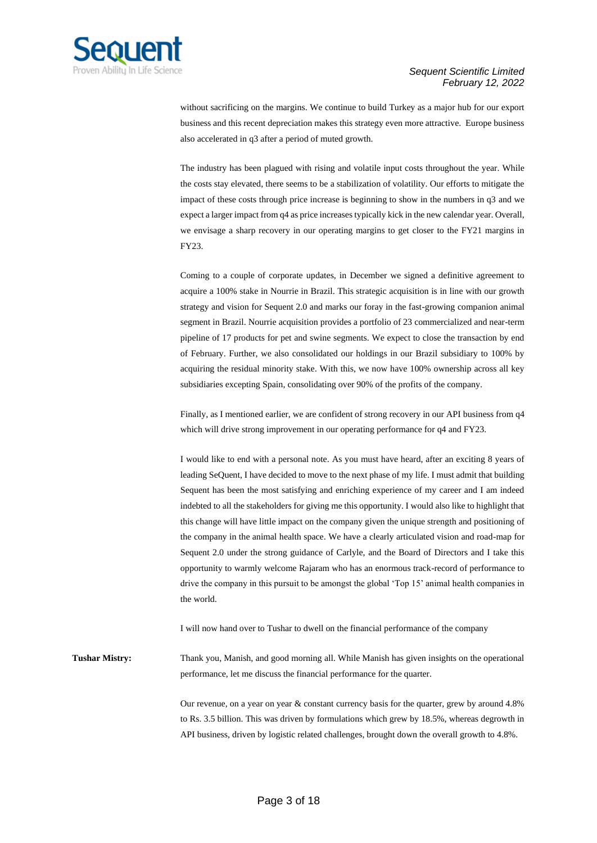

without sacrificing on the margins. We continue to build Turkey as a major hub for our export business and this recent depreciation makes this strategy even more attractive. Europe business also accelerated in q3 after a period of muted growth.

The industry has been plagued with rising and volatile input costs throughout the year. While the costs stay elevated, there seems to be a stabilization of volatility. Our efforts to mitigate the impact of these costs through price increase is beginning to show in the numbers in q3 and we expect a larger impact from q4 as price increases typically kick in the new calendar year. Overall, we envisage a sharp recovery in our operating margins to get closer to the FY21 margins in FY23.

Coming to a couple of corporate updates, in December we signed a definitive agreement to acquire a 100% stake in Nourrie in Brazil. This strategic acquisition is in line with our growth strategy and vision for Sequent 2.0 and marks our foray in the fast-growing companion animal segment in Brazil. Nourrie acquisition provides a portfolio of 23 commercialized and near-term pipeline of 17 products for pet and swine segments. We expect to close the transaction by end of February. Further, we also consolidated our holdings in our Brazil subsidiary to 100% by acquiring the residual minority stake. With this, we now have 100% ownership across all key subsidiaries excepting Spain, consolidating over 90% of the profits of the company.

Finally, as I mentioned earlier, we are confident of strong recovery in our API business from q4 which will drive strong improvement in our operating performance for q4 and FY23.

I would like to end with a personal note. As you must have heard, after an exciting 8 years of leading SeQuent, I have decided to move to the next phase of my life. I must admit that building Sequent has been the most satisfying and enriching experience of my career and I am indeed indebted to all the stakeholders for giving me this opportunity. I would also like to highlight that this change will have little impact on the company given the unique strength and positioning of the company in the animal health space. We have a clearly articulated vision and road-map for Sequent 2.0 under the strong guidance of Carlyle, and the Board of Directors and I take this opportunity to warmly welcome Rajaram who has an enormous track-record of performance to drive the company in this pursuit to be amongst the global 'Top 15' animal health companies in the world.

I will now hand over to Tushar to dwell on the financial performance of the company

**Tushar Mistry:** Thank you, Manish, and good morning all. While Manish has given insights on the operational performance, let me discuss the financial performance for the quarter.

> Our revenue, on a year on year & constant currency basis for the quarter, grew by around 4.8% to Rs. 3.5 billion. This was driven by formulations which grew by 18.5%, whereas degrowth in API business, driven by logistic related challenges, brought down the overall growth to 4.8%.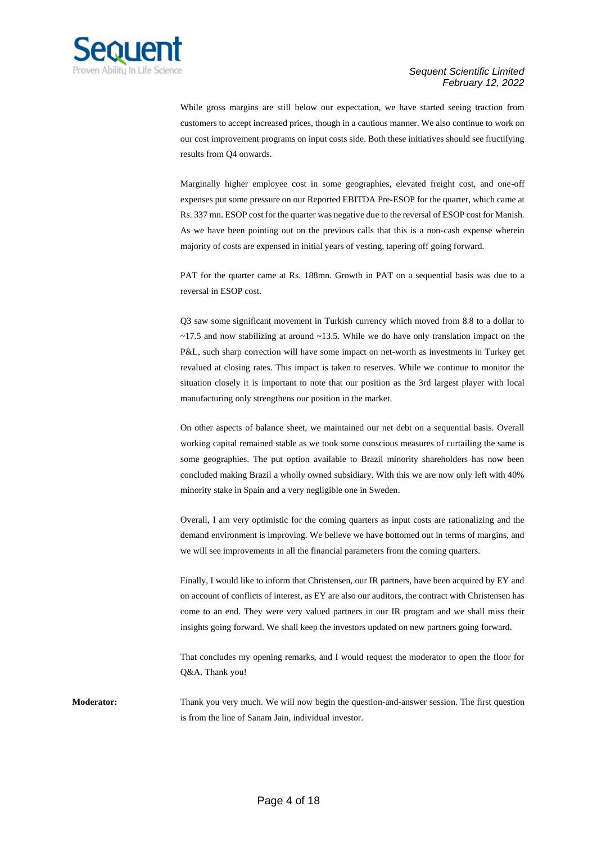

While gross margins are still below our expectation, we have started seeing traction from customers to accept increased prices, though in a cautious manner. We also continue to work on our cost improvement programs on input costs side. Both these initiatives should see fructifying results from Q4 onwards.

Marginally higher employee cost in some geographies, elevated freight cost, and one-off expenses put some pressure on our Reported EBITDA Pre-ESOP for the quarter, which came at Rs. 337 mn. ESOP cost for the quarter was negative due to the reversal of ESOP cost for Manish. As we have been pointing out on the previous calls that this is a non-cash expense wherein majority of costs are expensed in initial years of vesting, tapering off going forward.

PAT for the quarter came at Rs. 188mn. Growth in PAT on a sequential basis was due to a reversal in ESOP cost.

Q3 saw some significant movement in Turkish currency which moved from 8.8 to a dollar to  $\sim$ 17.5 and now stabilizing at around  $\sim$ 13.5. While we do have only translation impact on the P&L, such sharp correction will have some impact on net-worth as investments in Turkey get revalued at closing rates. This impact is taken to reserves. While we continue to monitor the situation closely it is important to note that our position as the 3rd largest player with local manufacturing only strengthens our position in the market.

On other aspects of balance sheet, we maintained our net debt on a sequential basis. Overall working capital remained stable as we took some conscious measures of curtailing the same is some geographies. The put option available to Brazil minority shareholders has now been concluded making Brazil a wholly owned subsidiary. With this we are now only left with 40% minority stake in Spain and a very negligible one in Sweden.

Overall, I am very optimistic for the coming quarters as input costs are rationalizing and the demand environment is improving. We believe we have bottomed out in terms of margins, and we will see improvements in all the financial parameters from the coming quarters.

Finally, I would like to inform that Christensen, our IR partners, have been acquired by EY and on account of conflicts of interest, as EY are also our auditors, the contract with Christensen has come to an end. They were very valued partners in our IR program and we shall miss their insights going forward. We shall keep the investors updated on new partners going forward.

That concludes my opening remarks, and I would request the moderator to open the floor for Q&A. Thank you!

**Moderator:** Thank you very much. We will now begin the question-and-answer session. The first question is from the line of Sanam Jain, individual investor.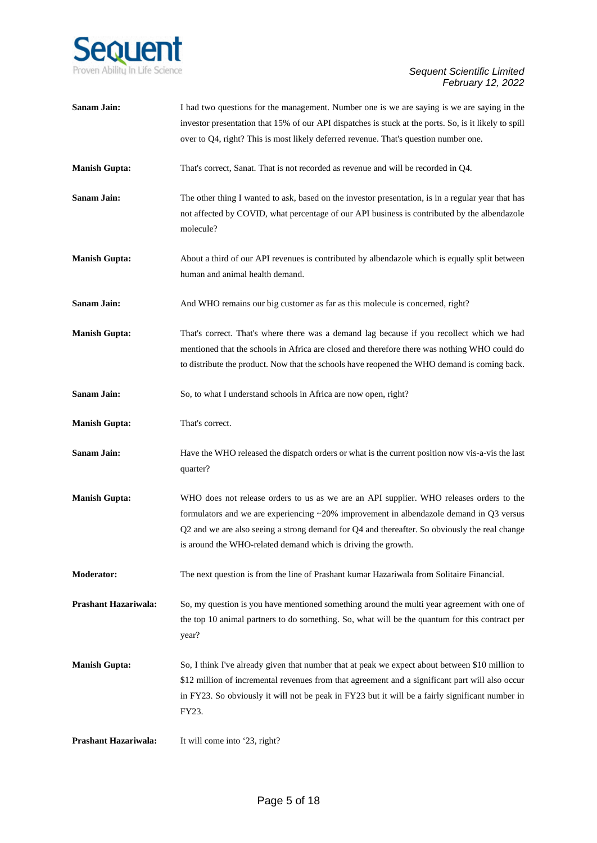

| <b>Sanam Jain:</b>   | I had two questions for the management. Number one is we are saying is we are saying in the<br>investor presentation that 15% of our API dispatches is stuck at the ports. So, is it likely to spill<br>over to Q4, right? This is most likely deferred revenue. That's question number one.                                                               |
|----------------------|------------------------------------------------------------------------------------------------------------------------------------------------------------------------------------------------------------------------------------------------------------------------------------------------------------------------------------------------------------|
| <b>Manish Gupta:</b> | That's correct, Sanat. That is not recorded as revenue and will be recorded in Q4.                                                                                                                                                                                                                                                                         |
| <b>Sanam Jain:</b>   | The other thing I wanted to ask, based on the investor presentation, is in a regular year that has<br>not affected by COVID, what percentage of our API business is contributed by the albendazole<br>molecule?                                                                                                                                            |
| <b>Manish Gupta:</b> | About a third of our API revenues is contributed by albendazole which is equally split between<br>human and animal health demand.                                                                                                                                                                                                                          |
| <b>Sanam Jain:</b>   | And WHO remains our big customer as far as this molecule is concerned, right?                                                                                                                                                                                                                                                                              |
| <b>Manish Gupta:</b> | That's correct. That's where there was a demand lag because if you recollect which we had<br>mentioned that the schools in Africa are closed and therefore there was nothing WHO could do<br>to distribute the product. Now that the schools have reopened the WHO demand is coming back.                                                                  |
| Sanam Jain:          | So, to what I understand schools in Africa are now open, right?                                                                                                                                                                                                                                                                                            |
| <b>Manish Gupta:</b> | That's correct.                                                                                                                                                                                                                                                                                                                                            |
| Sanam Jain:          | Have the WHO released the dispatch orders or what is the current position now vis-a-vis the last<br>quarter?                                                                                                                                                                                                                                               |
| <b>Manish Gupta:</b> | WHO does not release orders to us as we are an API supplier. WHO releases orders to the<br>formulators and we are experiencing $\sim$ 20% improvement in albendazole demand in Q3 versus<br>Q2 and we are also seeing a strong demand for Q4 and thereafter. So obviously the real change<br>is around the WHO-related demand which is driving the growth. |
| Moderator:           | The next question is from the line of Prashant kumar Hazariwala from Solitaire Financial.                                                                                                                                                                                                                                                                  |
| Prashant Hazariwala: | So, my question is you have mentioned something around the multi year agreement with one of<br>the top 10 animal partners to do something. So, what will be the quantum for this contract per<br>year?                                                                                                                                                     |
| <b>Manish Gupta:</b> | So, I think I've already given that number that at peak we expect about between \$10 million to<br>\$12 million of incremental revenues from that agreement and a significant part will also occur<br>in FY23. So obviously it will not be peak in FY23 but it will be a fairly significant number in<br>FY23.                                             |
| Prashant Hazariwala: | It will come into '23, right?                                                                                                                                                                                                                                                                                                                              |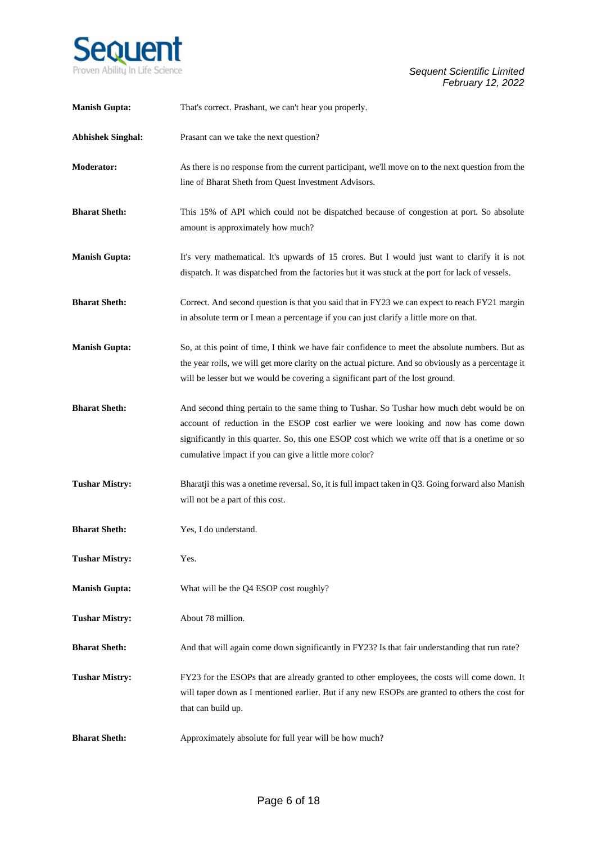

| <b>Manish Gupta:</b>     | That's correct. Prashant, we can't hear you properly.                                                                                                                                                                                                                                                                                          |
|--------------------------|------------------------------------------------------------------------------------------------------------------------------------------------------------------------------------------------------------------------------------------------------------------------------------------------------------------------------------------------|
| <b>Abhishek Singhal:</b> | Prasant can we take the next question?                                                                                                                                                                                                                                                                                                         |
| <b>Moderator:</b>        | As there is no response from the current participant, we'll move on to the next question from the<br>line of Bharat Sheth from Quest Investment Advisors.                                                                                                                                                                                      |
| <b>Bharat Sheth:</b>     | This 15% of API which could not be dispatched because of congestion at port. So absolute<br>amount is approximately how much?                                                                                                                                                                                                                  |
| <b>Manish Gupta:</b>     | It's very mathematical. It's upwards of 15 crores. But I would just want to clarify it is not<br>dispatch. It was dispatched from the factories but it was stuck at the port for lack of vessels.                                                                                                                                              |
| <b>Bharat Sheth:</b>     | Correct. And second question is that you said that in FY23 we can expect to reach FY21 margin<br>in absolute term or I mean a percentage if you can just clarify a little more on that.                                                                                                                                                        |
| <b>Manish Gupta:</b>     | So, at this point of time, I think we have fair confidence to meet the absolute numbers. But as<br>the year rolls, we will get more clarity on the actual picture. And so obviously as a percentage it<br>will be lesser but we would be covering a significant part of the lost ground.                                                       |
| <b>Bharat Sheth:</b>     | And second thing pertain to the same thing to Tushar. So Tushar how much debt would be on<br>account of reduction in the ESOP cost earlier we were looking and now has come down<br>significantly in this quarter. So, this one ESOP cost which we write off that is a onetime or so<br>cumulative impact if you can give a little more color? |
| <b>Tushar Mistry:</b>    | Bharatji this was a onetime reversal. So, it is full impact taken in Q3. Going forward also Manish<br>will not be a part of this cost.                                                                                                                                                                                                         |
| <b>Bharat Sheth:</b>     | Yes, I do understand.                                                                                                                                                                                                                                                                                                                          |
| <b>Tushar Mistry:</b>    | Yes.                                                                                                                                                                                                                                                                                                                                           |
| <b>Manish Gupta:</b>     | What will be the Q4 ESOP cost roughly?                                                                                                                                                                                                                                                                                                         |
| <b>Tushar Mistry:</b>    | About 78 million.                                                                                                                                                                                                                                                                                                                              |
| <b>Bharat Sheth:</b>     | And that will again come down significantly in FY23? Is that fair understanding that run rate?                                                                                                                                                                                                                                                 |
| <b>Tushar Mistry:</b>    | FY23 for the ESOPs that are already granted to other employees, the costs will come down. It<br>will taper down as I mentioned earlier. But if any new ESOPs are granted to others the cost for<br>that can build up.                                                                                                                          |
| <b>Bharat Sheth:</b>     | Approximately absolute for full year will be how much?                                                                                                                                                                                                                                                                                         |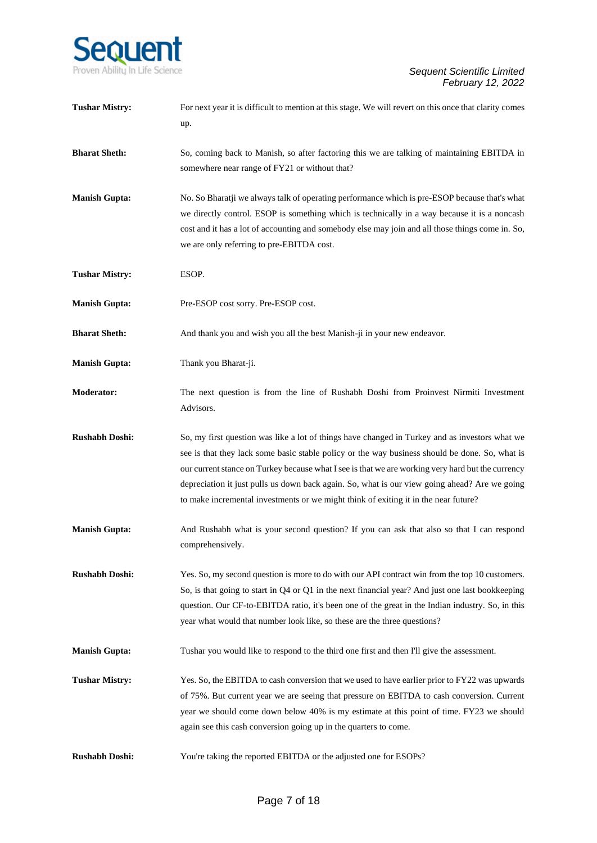

| <b>Tushar Mistry:</b> | For next year it is difficult to mention at this stage. We will revert on this once that clarity comes<br>up.                                                                                                                                                                                                                                                                                                                                                                                 |
|-----------------------|-----------------------------------------------------------------------------------------------------------------------------------------------------------------------------------------------------------------------------------------------------------------------------------------------------------------------------------------------------------------------------------------------------------------------------------------------------------------------------------------------|
| <b>Bharat Sheth:</b>  | So, coming back to Manish, so after factoring this we are talking of maintaining EBITDA in<br>somewhere near range of FY21 or without that?                                                                                                                                                                                                                                                                                                                                                   |
| <b>Manish Gupta:</b>  | No. So Bharatji we always talk of operating performance which is pre-ESOP because that's what<br>we directly control. ESOP is something which is technically in a way because it is a noncash<br>cost and it has a lot of accounting and somebody else may join and all those things come in. So,<br>we are only referring to pre-EBITDA cost.                                                                                                                                                |
| <b>Tushar Mistry:</b> | ESOP.                                                                                                                                                                                                                                                                                                                                                                                                                                                                                         |
| <b>Manish Gupta:</b>  | Pre-ESOP cost sorry. Pre-ESOP cost.                                                                                                                                                                                                                                                                                                                                                                                                                                                           |
| <b>Bharat Sheth:</b>  | And thank you and wish you all the best Manish-ji in your new endeavor.                                                                                                                                                                                                                                                                                                                                                                                                                       |
| <b>Manish Gupta:</b>  | Thank you Bharat-ji.                                                                                                                                                                                                                                                                                                                                                                                                                                                                          |
| <b>Moderator:</b>     | The next question is from the line of Rushabh Doshi from Proinvest Nirmiti Investment<br>Advisors.                                                                                                                                                                                                                                                                                                                                                                                            |
| <b>Rushabh Doshi:</b> | So, my first question was like a lot of things have changed in Turkey and as investors what we<br>see is that they lack some basic stable policy or the way business should be done. So, what is<br>our current stance on Turkey because what I see is that we are working very hard but the currency<br>depreciation it just pulls us down back again. So, what is our view going ahead? Are we going<br>to make incremental investments or we might think of exiting it in the near future? |
| <b>Manish Gupta:</b>  | And Rushabh what is your second question? If you can ask that also so that I can respond<br>comprehensively.                                                                                                                                                                                                                                                                                                                                                                                  |
| <b>Rushabh Doshi:</b> | Yes. So, my second question is more to do with our API contract win from the top 10 customers.<br>So, is that going to start in Q4 or Q1 in the next financial year? And just one last bookkeeping<br>question. Our CF-to-EBITDA ratio, it's been one of the great in the Indian industry. So, in this<br>year what would that number look like, so these are the three questions?                                                                                                            |
| <b>Manish Gupta:</b>  | Tushar you would like to respond to the third one first and then I'll give the assessment.                                                                                                                                                                                                                                                                                                                                                                                                    |
| <b>Tushar Mistry:</b> | Yes. So, the EBITDA to cash conversion that we used to have earlier prior to FY22 was upwards<br>of 75%. But current year we are seeing that pressure on EBITDA to cash conversion. Current<br>year we should come down below 40% is my estimate at this point of time. FY23 we should<br>again see this cash conversion going up in the quarters to come.                                                                                                                                    |
| <b>Rushabh Doshi:</b> | You're taking the reported EBITDA or the adjusted one for ESOPs?                                                                                                                                                                                                                                                                                                                                                                                                                              |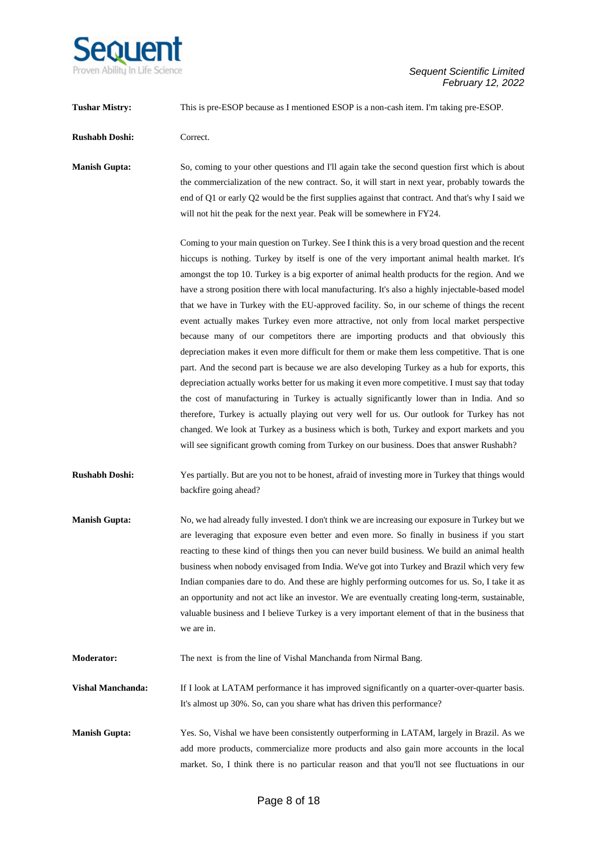

**Tushar Mistry:** This is pre-ESOP because as I mentioned ESOP is a non-cash item. I'm taking pre-ESOP. **Rushabh Doshi:** Correct. **Manish Gupta:** So, coming to your other questions and I'll again take the second question first which is about the commercialization of the new contract. So, it will start in next year, probably towards the end of Q1 or early Q2 would be the first supplies against that contract. And that's why I said we will not hit the peak for the next year. Peak will be somewhere in FY24. Coming to your main question on Turkey. See I think this is a very broad question and the recent hiccups is nothing. Turkey by itself is one of the very important animal health market. It's amongst the top 10. Turkey is a big exporter of animal health products for the region. And we have a strong position there with local manufacturing. It's also a highly injectable-based model that we have in Turkey with the EU-approved facility. So, in our scheme of things the recent event actually makes Turkey even more attractive, not only from local market perspective because many of our competitors there are importing products and that obviously this depreciation makes it even more difficult for them or make them less competitive. That is one part. And the second part is because we are also developing Turkey as a hub for exports, this depreciation actually works better for us making it even more competitive. I must say that today the cost of manufacturing in Turkey is actually significantly lower than in India. And so therefore, Turkey is actually playing out very well for us. Our outlook for Turkey has not changed. We look at Turkey as a business which is both, Turkey and export markets and you will see significant growth coming from Turkey on our business. Does that answer Rushabh? **Rushabh Doshi:** Yes partially. But are you not to be honest, afraid of investing more in Turkey that things would backfire going ahead? **Manish Gupta:** No, we had already fully invested. I don't think we are increasing our exposure in Turkey but we are leveraging that exposure even better and even more. So finally in business if you start reacting to these kind of things then you can never build business. We build an animal health business when nobody envisaged from India. We've got into Turkey and Brazil which very few Indian companies dare to do. And these are highly performing outcomes for us. So, I take it as an opportunity and not act like an investor. We are eventually creating long-term, sustainable, valuable business and I believe Turkey is a very important element of that in the business that we are in. **Moderator:** The next is from the line of Vishal Manchanda from Nirmal Bang. **Vishal Manchanda:** If I look at LATAM performance it has improved significantly on a quarter-over-quarter basis.

**Manish Gupta:** Yes. So, Vishal we have been consistently outperforming in LATAM, largely in Brazil. As we add more products, commercialize more products and also gain more accounts in the local market. So, I think there is no particular reason and that you'll not see fluctuations in our

It's almost up 30%. So, can you share what has driven this performance?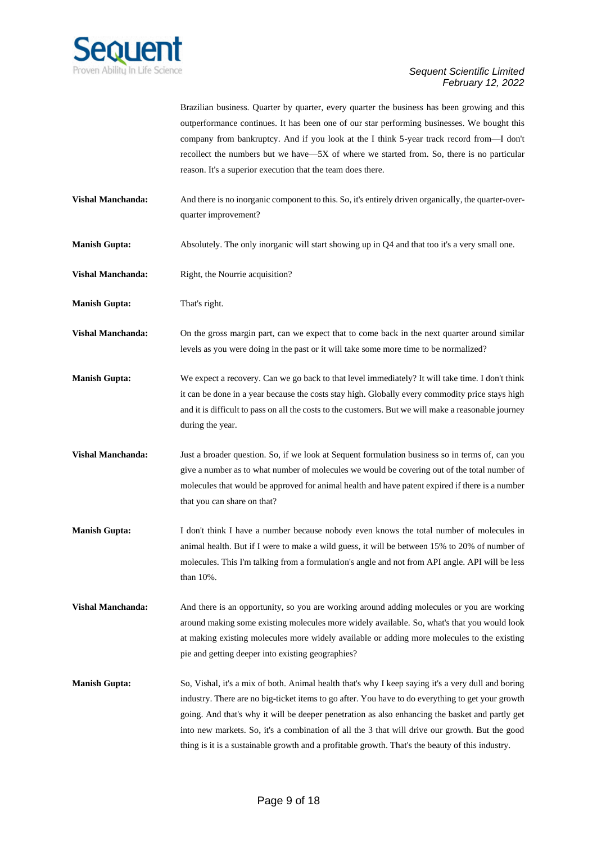

Brazilian business. Quarter by quarter, every quarter the business has been growing and this outperformance continues. It has been one of our star performing businesses. We bought this company from bankruptcy. And if you look at the I think 5-year track record from—I don't recollect the numbers but we have—5X of where we started from. So, there is no particular reason. It's a superior execution that the team does there.

- **Vishal Manchanda:** And there is no inorganic component to this. So, it's entirely driven organically, the quarter-overquarter improvement?
- **Manish Gupta:** Absolutely. The only inorganic will start showing up in Q4 and that too it's a very small one.
- **Vishal Manchanda:** Right, the Nourrie acquisition?

**Manish Gupta:** That's right.

**Vishal Manchanda:** On the gross margin part, can we expect that to come back in the next quarter around similar levels as you were doing in the past or it will take some more time to be normalized?

- **Manish Gupta:** We expect a recovery. Can we go back to that level immediately? It will take time. I don't think it can be done in a year because the costs stay high. Globally every commodity price stays high and it is difficult to pass on all the costs to the customers. But we will make a reasonable journey during the year.
- **Vishal Manchanda:** Just a broader question. So, if we look at Sequent formulation business so in terms of, can you give a number as to what number of molecules we would be covering out of the total number of molecules that would be approved for animal health and have patent expired if there is a number that you can share on that?
- **Manish Gupta:** I don't think I have a number because nobody even knows the total number of molecules in animal health. But if I were to make a wild guess, it will be between 15% to 20% of number of molecules. This I'm talking from a formulation's angle and not from API angle. API will be less than 10%.
- **Vishal Manchanda:** And there is an opportunity, so you are working around adding molecules or you are working around making some existing molecules more widely available. So, what's that you would look at making existing molecules more widely available or adding more molecules to the existing pie and getting deeper into existing geographies?
- **Manish Gupta:** So, Vishal, it's a mix of both. Animal health that's why I keep saying it's a very dull and boring industry. There are no big-ticket items to go after. You have to do everything to get your growth going. And that's why it will be deeper penetration as also enhancing the basket and partly get into new markets. So, it's a combination of all the 3 that will drive our growth. But the good thing is it is a sustainable growth and a profitable growth. That's the beauty of this industry.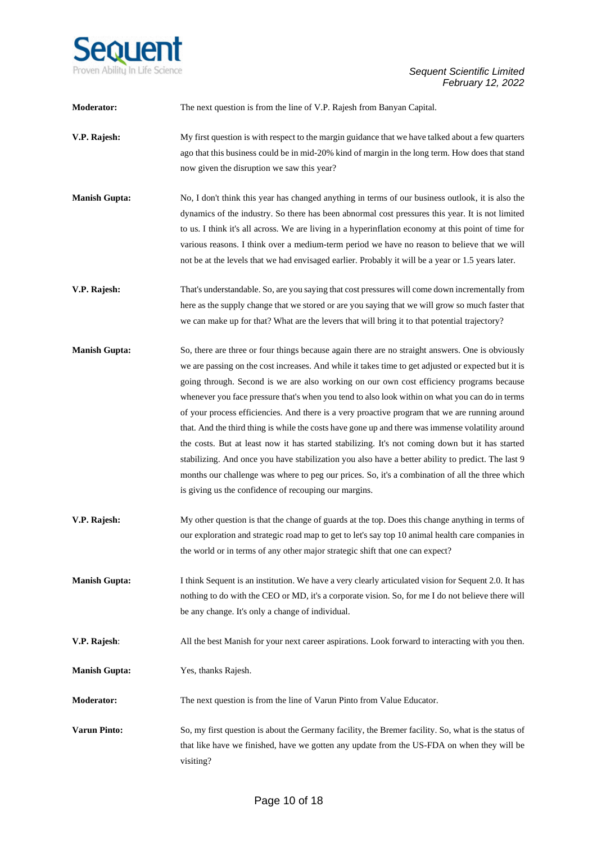

| Moderator:           | The next question is from the line of V.P. Rajesh from Banyan Capital.                                                                                                                                                                                                                                                                                                                                                                                                                                                                                                                                                                                                                                                                                                                                                                                                                                                                                                             |
|----------------------|------------------------------------------------------------------------------------------------------------------------------------------------------------------------------------------------------------------------------------------------------------------------------------------------------------------------------------------------------------------------------------------------------------------------------------------------------------------------------------------------------------------------------------------------------------------------------------------------------------------------------------------------------------------------------------------------------------------------------------------------------------------------------------------------------------------------------------------------------------------------------------------------------------------------------------------------------------------------------------|
| V.P. Rajesh:         | My first question is with respect to the margin guidance that we have talked about a few quarters<br>ago that this business could be in mid-20% kind of margin in the long term. How does that stand<br>now given the disruption we saw this year?                                                                                                                                                                                                                                                                                                                                                                                                                                                                                                                                                                                                                                                                                                                                 |
| <b>Manish Gupta:</b> | No, I don't think this year has changed anything in terms of our business outlook, it is also the<br>dynamics of the industry. So there has been abnormal cost pressures this year. It is not limited<br>to us. I think it's all across. We are living in a hyperinflation economy at this point of time for<br>various reasons. I think over a medium-term period we have no reason to believe that we will<br>not be at the levels that we had envisaged earlier. Probably it will be a year or 1.5 years later.                                                                                                                                                                                                                                                                                                                                                                                                                                                                 |
| V.P. Rajesh:         | That's understandable. So, are you saying that cost pressures will come down incrementally from<br>here as the supply change that we stored or are you saying that we will grow so much faster that<br>we can make up for that? What are the levers that will bring it to that potential trajectory?                                                                                                                                                                                                                                                                                                                                                                                                                                                                                                                                                                                                                                                                               |
| <b>Manish Gupta:</b> | So, there are three or four things because again there are no straight answers. One is obviously<br>we are passing on the cost increases. And while it takes time to get adjusted or expected but it is<br>going through. Second is we are also working on our own cost efficiency programs because<br>whenever you face pressure that's when you tend to also look within on what you can do in terms<br>of your process efficiencies. And there is a very proactive program that we are running around<br>that. And the third thing is while the costs have gone up and there was immense volatility around<br>the costs. But at least now it has started stabilizing. It's not coming down but it has started<br>stabilizing. And once you have stabilization you also have a better ability to predict. The last 9<br>months our challenge was where to peg our prices. So, it's a combination of all the three which<br>is giving us the confidence of recouping our margins. |
| V.P. Rajesh:         | My other question is that the change of guards at the top. Does this change anything in terms of<br>our exploration and strategic road map to get to let's say top 10 animal health care companies in<br>the world or in terms of any other major strategic shift that one can expect?                                                                                                                                                                                                                                                                                                                                                                                                                                                                                                                                                                                                                                                                                             |
| <b>Manish Gupta:</b> | I think Sequent is an institution. We have a very clearly articulated vision for Sequent 2.0. It has<br>nothing to do with the CEO or MD, it's a corporate vision. So, for me I do not believe there will<br>be any change. It's only a change of individual.                                                                                                                                                                                                                                                                                                                                                                                                                                                                                                                                                                                                                                                                                                                      |
| V.P. Rajesh:         | All the best Manish for your next career aspirations. Look forward to interacting with you then.                                                                                                                                                                                                                                                                                                                                                                                                                                                                                                                                                                                                                                                                                                                                                                                                                                                                                   |
| <b>Manish Gupta:</b> | Yes, thanks Rajesh.                                                                                                                                                                                                                                                                                                                                                                                                                                                                                                                                                                                                                                                                                                                                                                                                                                                                                                                                                                |
| <b>Moderator:</b>    | The next question is from the line of Varun Pinto from Value Educator.                                                                                                                                                                                                                                                                                                                                                                                                                                                                                                                                                                                                                                                                                                                                                                                                                                                                                                             |
| <b>Varun Pinto:</b>  | So, my first question is about the Germany facility, the Bremer facility. So, what is the status of<br>that like have we finished, have we gotten any update from the US-FDA on when they will be<br>visiting?                                                                                                                                                                                                                                                                                                                                                                                                                                                                                                                                                                                                                                                                                                                                                                     |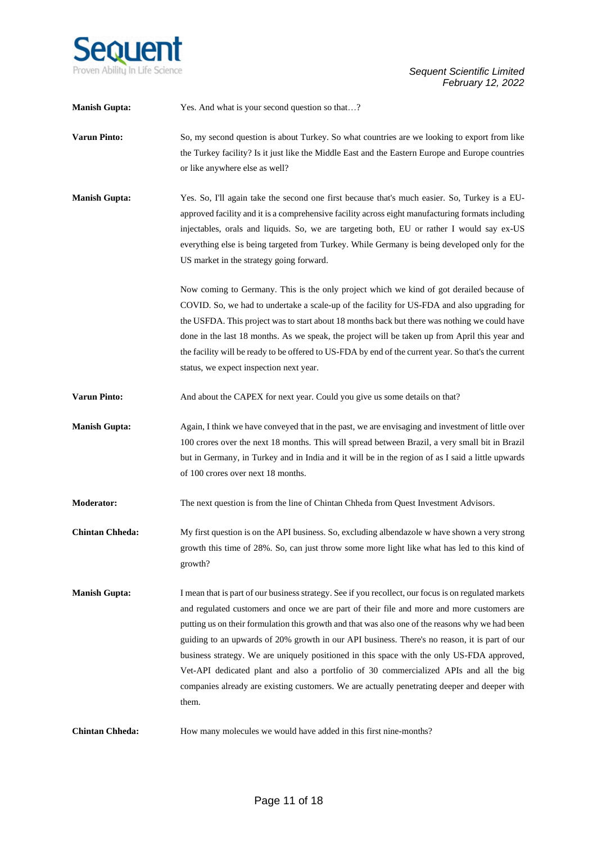

| <b>Manish Gupta:</b>   | Yes. And what is your second question so that?                                                                                                                                                                                                                                                                                                                                                                                                                                                                                                                                                                                                                                                            |
|------------------------|-----------------------------------------------------------------------------------------------------------------------------------------------------------------------------------------------------------------------------------------------------------------------------------------------------------------------------------------------------------------------------------------------------------------------------------------------------------------------------------------------------------------------------------------------------------------------------------------------------------------------------------------------------------------------------------------------------------|
| <b>Varun Pinto:</b>    | So, my second question is about Turkey. So what countries are we looking to export from like<br>the Turkey facility? Is it just like the Middle East and the Eastern Europe and Europe countries<br>or like anywhere else as well?                                                                                                                                                                                                                                                                                                                                                                                                                                                                        |
| <b>Manish Gupta:</b>   | Yes. So, I'll again take the second one first because that's much easier. So, Turkey is a EU-<br>approved facility and it is a comprehensive facility across eight manufacturing formats including<br>injectables, orals and liquids. So, we are targeting both, EU or rather I would say ex-US<br>everything else is being targeted from Turkey. While Germany is being developed only for the<br>US market in the strategy going forward.                                                                                                                                                                                                                                                               |
|                        | Now coming to Germany. This is the only project which we kind of got derailed because of<br>COVID. So, we had to undertake a scale-up of the facility for US-FDA and also upgrading for<br>the USFDA. This project was to start about 18 months back but there was nothing we could have<br>done in the last 18 months. As we speak, the project will be taken up from April this year and<br>the facility will be ready to be offered to US-FDA by end of the current year. So that's the current<br>status, we expect inspection next year.                                                                                                                                                             |
| <b>Varun Pinto:</b>    | And about the CAPEX for next year. Could you give us some details on that?                                                                                                                                                                                                                                                                                                                                                                                                                                                                                                                                                                                                                                |
| <b>Manish Gupta:</b>   | Again, I think we have conveyed that in the past, we are envisaging and investment of little over<br>100 crores over the next 18 months. This will spread between Brazil, a very small bit in Brazil<br>but in Germany, in Turkey and in India and it will be in the region of as I said a little upwards<br>of 100 crores over next 18 months.                                                                                                                                                                                                                                                                                                                                                           |
| Moderator:             | The next question is from the line of Chintan Chheda from Quest Investment Advisors.                                                                                                                                                                                                                                                                                                                                                                                                                                                                                                                                                                                                                      |
| <b>Chintan Chheda:</b> | My first question is on the API business. So, excluding albendazole w have shown a very strong<br>growth this time of 28%. So, can just throw some more light like what has led to this kind of<br>growth?                                                                                                                                                                                                                                                                                                                                                                                                                                                                                                |
| <b>Manish Gupta:</b>   | I mean that is part of our business strategy. See if you recollect, our focus is on regulated markets<br>and regulated customers and once we are part of their file and more and more customers are<br>putting us on their formulation this growth and that was also one of the reasons why we had been<br>guiding to an upwards of 20% growth in our API business. There's no reason, it is part of our<br>business strategy. We are uniquely positioned in this space with the only US-FDA approved,<br>Vet-API dedicated plant and also a portfolio of 30 commercialized APIs and all the big<br>companies already are existing customers. We are actually penetrating deeper and deeper with<br>them. |
| <b>Chintan Chheda:</b> | How many molecules we would have added in this first nine-months?                                                                                                                                                                                                                                                                                                                                                                                                                                                                                                                                                                                                                                         |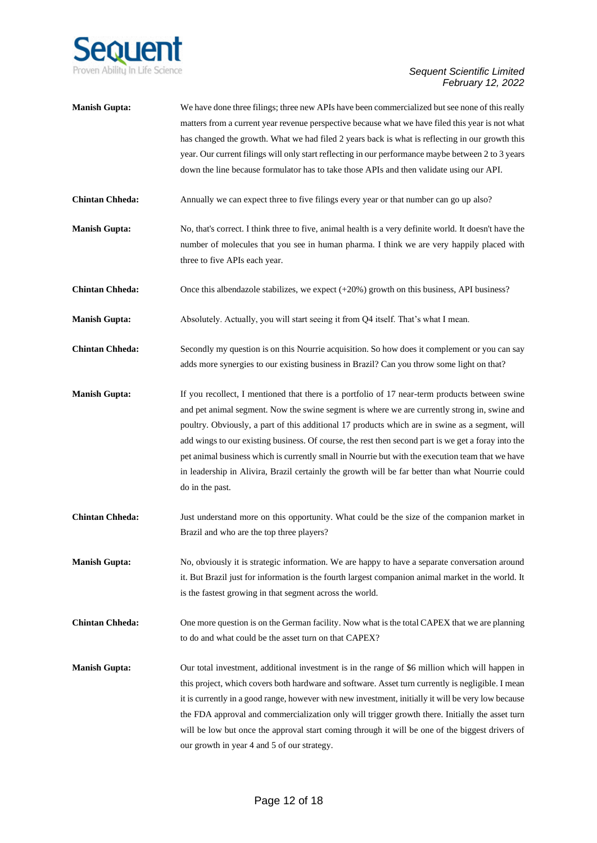

| <b>Manish Gupta:</b>   | We have done three filings; three new APIs have been commercialized but see none of this really<br>matters from a current year revenue perspective because what we have filed this year is not what<br>has changed the growth. What we had filed 2 years back is what is reflecting in our growth this<br>year. Our current filings will only start reflecting in our performance maybe between 2 to 3 years<br>down the line because formulator has to take those APIs and then validate using our API.                                                                                                                            |
|------------------------|-------------------------------------------------------------------------------------------------------------------------------------------------------------------------------------------------------------------------------------------------------------------------------------------------------------------------------------------------------------------------------------------------------------------------------------------------------------------------------------------------------------------------------------------------------------------------------------------------------------------------------------|
| <b>Chintan Chheda:</b> | Annually we can expect three to five filings every year or that number can go up also?                                                                                                                                                                                                                                                                                                                                                                                                                                                                                                                                              |
| <b>Manish Gupta:</b>   | No, that's correct. I think three to five, animal health is a very definite world. It doesn't have the<br>number of molecules that you see in human pharma. I think we are very happily placed with<br>three to five APIs each year.                                                                                                                                                                                                                                                                                                                                                                                                |
| <b>Chintan Chheda:</b> | Once this albendazole stabilizes, we expect $(+20%)$ growth on this business, API business?                                                                                                                                                                                                                                                                                                                                                                                                                                                                                                                                         |
| <b>Manish Gupta:</b>   | Absolutely. Actually, you will start seeing it from Q4 itself. That's what I mean.                                                                                                                                                                                                                                                                                                                                                                                                                                                                                                                                                  |
| <b>Chintan Chheda:</b> | Secondly my question is on this Nourrie acquisition. So how does it complement or you can say<br>adds more synergies to our existing business in Brazil? Can you throw some light on that?                                                                                                                                                                                                                                                                                                                                                                                                                                          |
| <b>Manish Gupta:</b>   | If you recollect, I mentioned that there is a portfolio of 17 near-term products between swine<br>and pet animal segment. Now the swine segment is where we are currently strong in, swine and<br>poultry. Obviously, a part of this additional 17 products which are in swine as a segment, will<br>add wings to our existing business. Of course, the rest then second part is we get a foray into the<br>pet animal business which is currently small in Nourrie but with the execution team that we have<br>in leadership in Alivira, Brazil certainly the growth will be far better than what Nourrie could<br>do in the past. |
| <b>Chintan Chheda:</b> | Just understand more on this opportunity. What could be the size of the companion market in<br>Brazil and who are the top three players?                                                                                                                                                                                                                                                                                                                                                                                                                                                                                            |
| <b>Manish Gupta:</b>   | No, obviously it is strategic information. We are happy to have a separate conversation around<br>it. But Brazil just for information is the fourth largest companion animal market in the world. It<br>is the fastest growing in that segment across the world.                                                                                                                                                                                                                                                                                                                                                                    |
| <b>Chintan Chheda:</b> | One more question is on the German facility. Now what is the total CAPEX that we are planning<br>to do and what could be the asset turn on that CAPEX?                                                                                                                                                                                                                                                                                                                                                                                                                                                                              |
| <b>Manish Gupta:</b>   | Our total investment, additional investment is in the range of \$6 million which will happen in<br>this project, which covers both hardware and software. Asset turn currently is negligible. I mean<br>it is currently in a good range, however with new investment, initially it will be very low because<br>the FDA approval and commercialization only will trigger growth there. Initially the asset turn<br>will be low but once the approval start coming through it will be one of the biggest drivers of<br>our growth in year 4 and 5 of our strategy.                                                                    |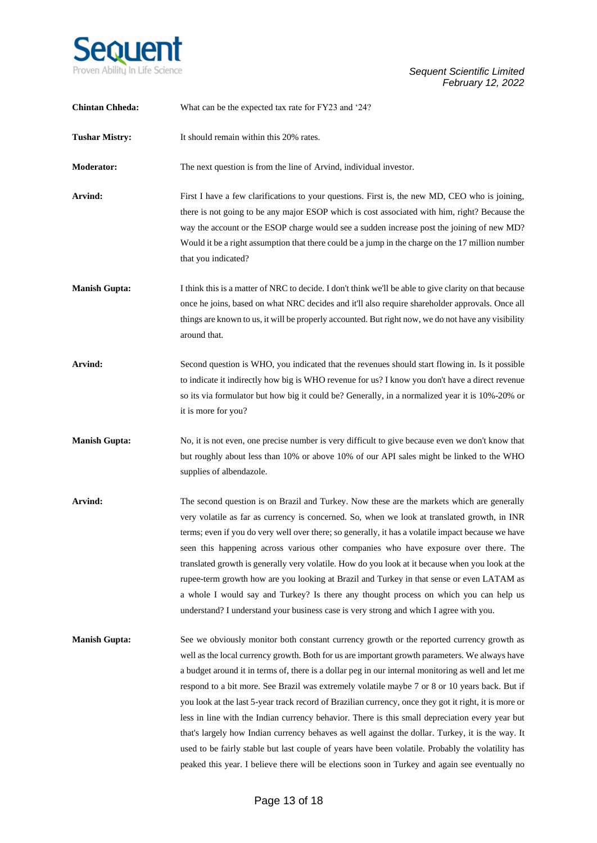

| <b>Chintan Chheda:</b> | What can be the expected tax rate for FY23 and '24?                                                                                                                                                                                                                                                                                                                                                                                                                                                                                                                                                                                                                                                                                                                                                                                                                                                                         |
|------------------------|-----------------------------------------------------------------------------------------------------------------------------------------------------------------------------------------------------------------------------------------------------------------------------------------------------------------------------------------------------------------------------------------------------------------------------------------------------------------------------------------------------------------------------------------------------------------------------------------------------------------------------------------------------------------------------------------------------------------------------------------------------------------------------------------------------------------------------------------------------------------------------------------------------------------------------|
| <b>Tushar Mistry:</b>  | It should remain within this 20% rates.                                                                                                                                                                                                                                                                                                                                                                                                                                                                                                                                                                                                                                                                                                                                                                                                                                                                                     |
| <b>Moderator:</b>      | The next question is from the line of Arvind, individual investor.                                                                                                                                                                                                                                                                                                                                                                                                                                                                                                                                                                                                                                                                                                                                                                                                                                                          |
| Arvind:                | First I have a few clarifications to your questions. First is, the new MD, CEO who is joining,<br>there is not going to be any major ESOP which is cost associated with him, right? Because the<br>way the account or the ESOP charge would see a sudden increase post the joining of new MD?<br>Would it be a right assumption that there could be a jump in the charge on the 17 million number<br>that you indicated?                                                                                                                                                                                                                                                                                                                                                                                                                                                                                                    |
| <b>Manish Gupta:</b>   | I think this is a matter of NRC to decide. I don't think we'll be able to give clarity on that because<br>once he joins, based on what NRC decides and it'll also require shareholder approvals. Once all<br>things are known to us, it will be properly accounted. But right now, we do not have any visibility<br>around that.                                                                                                                                                                                                                                                                                                                                                                                                                                                                                                                                                                                            |
| Arvind:                | Second question is WHO, you indicated that the revenues should start flowing in. Is it possible<br>to indicate it indirectly how big is WHO revenue for us? I know you don't have a direct revenue<br>so its via formulator but how big it could be? Generally, in a normalized year it is 10%-20% or<br>it is more for you?                                                                                                                                                                                                                                                                                                                                                                                                                                                                                                                                                                                                |
| <b>Manish Gupta:</b>   | No, it is not even, one precise number is very difficult to give because even we don't know that<br>but roughly about less than 10% or above 10% of our API sales might be linked to the WHO<br>supplies of albendazole.                                                                                                                                                                                                                                                                                                                                                                                                                                                                                                                                                                                                                                                                                                    |
| Arvind:                | The second question is on Brazil and Turkey. Now these are the markets which are generally<br>very volatile as far as currency is concerned. So, when we look at translated growth, in INR<br>terms; even if you do very well over there; so generally, it has a volatile impact because we have<br>seen this happening across various other companies who have exposure over there. The<br>translated growth is generally very volatile. How do you look at it because when you look at the<br>rupee-term growth how are you looking at Brazil and Turkey in that sense or even LATAM as<br>a whole I would say and Turkey? Is there any thought process on which you can help us<br>understand? I understand your business case is very strong and which I agree with you.                                                                                                                                                |
| <b>Manish Gupta:</b>   | See we obviously monitor both constant currency growth or the reported currency growth as<br>well as the local currency growth. Both for us are important growth parameters. We always have<br>a budget around it in terms of, there is a dollar peg in our internal monitoring as well and let me<br>respond to a bit more. See Brazil was extremely volatile maybe 7 or 8 or 10 years back. But if<br>you look at the last 5-year track record of Brazilian currency, once they got it right, it is more or<br>less in line with the Indian currency behavior. There is this small depreciation every year but<br>that's largely how Indian currency behaves as well against the dollar. Turkey, it is the way. It<br>used to be fairly stable but last couple of years have been volatile. Probably the volatility has<br>peaked this year. I believe there will be elections soon in Turkey and again see eventually no |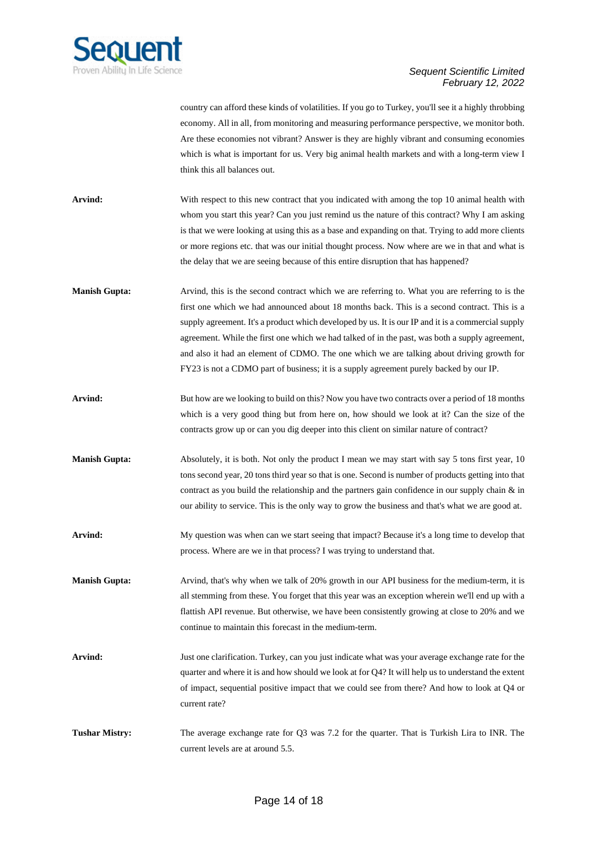

country can afford these kinds of volatilities. If you go to Turkey, you'll see it a highly throbbing economy. All in all, from monitoring and measuring performance perspective, we monitor both. Are these economies not vibrant? Answer is they are highly vibrant and consuming economies which is what is important for us. Very big animal health markets and with a long-term view I think this all balances out.

- **Arvind:** With respect to this new contract that you indicated with among the top 10 animal health with whom you start this year? Can you just remind us the nature of this contract? Why I am asking is that we were looking at using this as a base and expanding on that. Trying to add more clients or more regions etc. that was our initial thought process. Now where are we in that and what is the delay that we are seeing because of this entire disruption that has happened?
- **Manish Gupta:** Arvind, this is the second contract which we are referring to. What you are referring to is the first one which we had announced about 18 months back. This is a second contract. This is a supply agreement. It's a product which developed by us. It is our IP and it is a commercial supply agreement. While the first one which we had talked of in the past, was both a supply agreement, and also it had an element of CDMO. The one which we are talking about driving growth for FY23 is not a CDMO part of business; it is a supply agreement purely backed by our IP.
- **Arvind:** But how are we looking to build on this? Now you have two contracts over a period of 18 months which is a very good thing but from here on, how should we look at it? Can the size of the contracts grow up or can you dig deeper into this client on similar nature of contract?
- **Manish Gupta:** Absolutely, it is both. Not only the product I mean we may start with say 5 tons first year, 10 tons second year, 20 tons third year so that is one. Second is number of products getting into that contract as you build the relationship and the partners gain confidence in our supply chain  $\&$  in our ability to service. This is the only way to grow the business and that's what we are good at.
- **Arvind:** My question was when can we start seeing that impact? Because it's a long time to develop that process. Where are we in that process? I was trying to understand that.
- **Manish Gupta:** Arvind, that's why when we talk of 20% growth in our API business for the medium-term, it is all stemming from these. You forget that this year was an exception wherein we'll end up with a flattish API revenue. But otherwise, we have been consistently growing at close to 20% and we continue to maintain this forecast in the medium-term.
- **Arvind:** Just one clarification. Turkey, can you just indicate what was your average exchange rate for the quarter and where it is and how should we look at for Q4? It will help us to understand the extent of impact, sequential positive impact that we could see from there? And how to look at Q4 or current rate?
- **Tushar Mistry:** The average exchange rate for Q3 was 7.2 for the quarter. That is Turkish Lira to INR. The current levels are at around 5.5.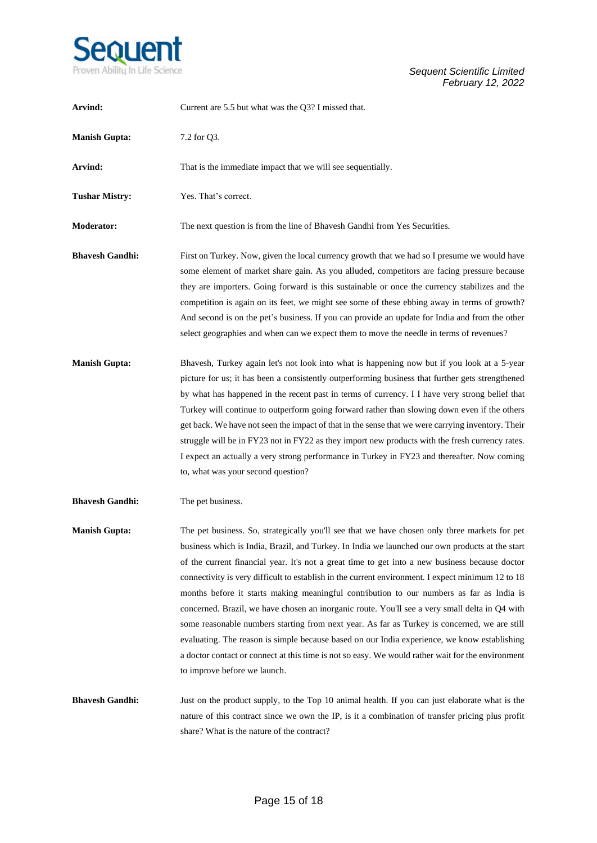

| Arvind:                | Current are 5.5 but what was the Q3? I missed that.                                                                                                                                                                                                                                                                                                                                                                                                                                                                                                                                                                                                                                                                                                                                                                                                                                                                                        |
|------------------------|--------------------------------------------------------------------------------------------------------------------------------------------------------------------------------------------------------------------------------------------------------------------------------------------------------------------------------------------------------------------------------------------------------------------------------------------------------------------------------------------------------------------------------------------------------------------------------------------------------------------------------------------------------------------------------------------------------------------------------------------------------------------------------------------------------------------------------------------------------------------------------------------------------------------------------------------|
| <b>Manish Gupta:</b>   | 7.2 for Q3.                                                                                                                                                                                                                                                                                                                                                                                                                                                                                                                                                                                                                                                                                                                                                                                                                                                                                                                                |
| Arvind:                | That is the immediate impact that we will see sequentially.                                                                                                                                                                                                                                                                                                                                                                                                                                                                                                                                                                                                                                                                                                                                                                                                                                                                                |
| <b>Tushar Mistry:</b>  | Yes. That's correct.                                                                                                                                                                                                                                                                                                                                                                                                                                                                                                                                                                                                                                                                                                                                                                                                                                                                                                                       |
| <b>Moderator:</b>      | The next question is from the line of Bhavesh Gandhi from Yes Securities.                                                                                                                                                                                                                                                                                                                                                                                                                                                                                                                                                                                                                                                                                                                                                                                                                                                                  |
| <b>Bhavesh Gandhi:</b> | First on Turkey. Now, given the local currency growth that we had so I presume we would have<br>some element of market share gain. As you alluded, competitors are facing pressure because<br>they are importers. Going forward is this sustainable or once the currency stabilizes and the<br>competition is again on its feet, we might see some of these ebbing away in terms of growth?<br>And second is on the pet's business. If you can provide an update for India and from the other<br>select geographies and when can we expect them to move the needle in terms of revenues?                                                                                                                                                                                                                                                                                                                                                   |
| <b>Manish Gupta:</b>   | Bhavesh, Turkey again let's not look into what is happening now but if you look at a 5-year<br>picture for us; it has been a consistently outperforming business that further gets strengthened<br>by what has happened in the recent past in terms of currency. I I have very strong belief that<br>Turkey will continue to outperform going forward rather than slowing down even if the others<br>get back. We have not seen the impact of that in the sense that we were carrying inventory. Their<br>struggle will be in FY23 not in FY22 as they import new products with the fresh currency rates.<br>I expect an actually a very strong performance in Turkey in FY23 and thereafter. Now coming<br>to, what was your second question?                                                                                                                                                                                             |
| <b>Bhavesh Gandhi:</b> | The pet business.                                                                                                                                                                                                                                                                                                                                                                                                                                                                                                                                                                                                                                                                                                                                                                                                                                                                                                                          |
| <b>Manish Gupta:</b>   | The pet business. So, strategically you'll see that we have chosen only three markets for pet<br>business which is India, Brazil, and Turkey. In India we launched our own products at the start<br>of the current financial year. It's not a great time to get into a new business because doctor<br>connectivity is very difficult to establish in the current environment. I expect minimum 12 to 18<br>months before it starts making meaningful contribution to our numbers as far as India is<br>concerned. Brazil, we have chosen an inorganic route. You'll see a very small delta in Q4 with<br>some reasonable numbers starting from next year. As far as Turkey is concerned, we are still<br>evaluating. The reason is simple because based on our India experience, we know establishing<br>a doctor contact or connect at this time is not so easy. We would rather wait for the environment<br>to improve before we launch. |
| <b>Bhavesh Gandhi:</b> | Just on the product supply, to the Top 10 animal health. If you can just elaborate what is the<br>nature of this contract since we own the IP, is it a combination of transfer pricing plus profit<br>share? What is the nature of the contract?                                                                                                                                                                                                                                                                                                                                                                                                                                                                                                                                                                                                                                                                                           |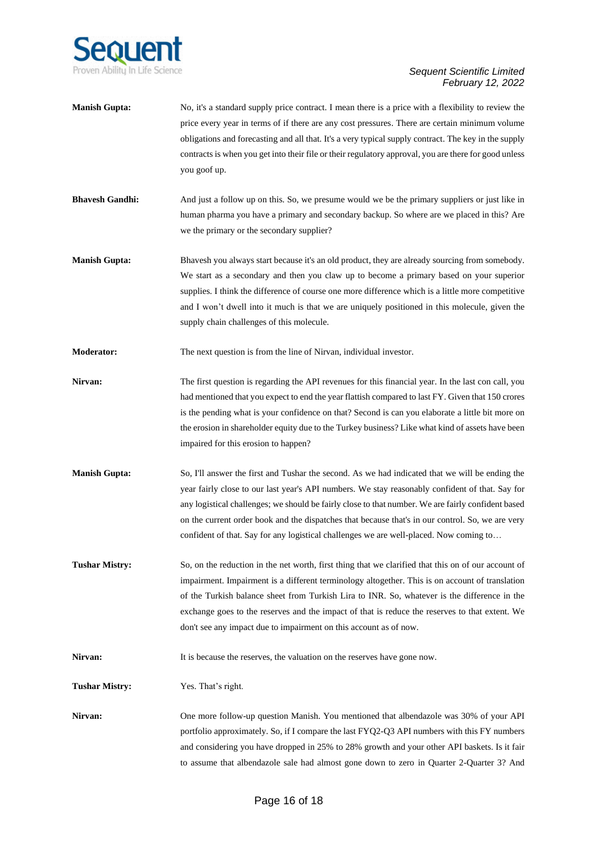

- **Manish Gupta:** No, it's a standard supply price contract. I mean there is a price with a flexibility to review the price every year in terms of if there are any cost pressures. There are certain minimum volume obligations and forecasting and all that. It's a very typical supply contract. The key in the supply contracts is when you get into their file or their regulatory approval, you are there for good unless you goof up.
- **Bhavesh Gandhi:** And just a follow up on this. So, we presume would we be the primary suppliers or just like in human pharma you have a primary and secondary backup. So where are we placed in this? Are we the primary or the secondary supplier?
- **Manish Gupta:** Bhavesh you always start because it's an old product, they are already sourcing from somebody. We start as a secondary and then you claw up to become a primary based on your superior supplies. I think the difference of course one more difference which is a little more competitive and I won't dwell into it much is that we are uniquely positioned in this molecule, given the supply chain challenges of this molecule.
- **Moderator:** The next question is from the line of Nirvan, individual investor.
- **Nirvan:** The first question is regarding the API revenues for this financial year. In the last con call, you had mentioned that you expect to end the year flattish compared to last FY. Given that 150 crores is the pending what is your confidence on that? Second is can you elaborate a little bit more on the erosion in shareholder equity due to the Turkey business? Like what kind of assets have been impaired for this erosion to happen?
- **Manish Gupta:** So, I'll answer the first and Tushar the second. As we had indicated that we will be ending the year fairly close to our last year's API numbers. We stay reasonably confident of that. Say for any logistical challenges; we should be fairly close to that number. We are fairly confident based on the current order book and the dispatches that because that's in our control. So, we are very confident of that. Say for any logistical challenges we are well-placed. Now coming to…
- **Tushar Mistry:** So, on the reduction in the net worth, first thing that we clarified that this on of our account of impairment. Impairment is a different terminology altogether. This is on account of translation of the Turkish balance sheet from Turkish Lira to INR. So, whatever is the difference in the exchange goes to the reserves and the impact of that is reduce the reserves to that extent. We don't see any impact due to impairment on this account as of now.

**Nirvan:** It is because the reserves, the valuation on the reserves have gone now.

**Tushar Mistry:** Yes. That's right.

**Nirvan:** One more follow-up question Manish. You mentioned that albendazole was 30% of your API portfolio approximately. So, if I compare the last FYQ2-Q3 API numbers with this FY numbers and considering you have dropped in 25% to 28% growth and your other API baskets. Is it fair to assume that albendazole sale had almost gone down to zero in Quarter 2-Quarter 3? And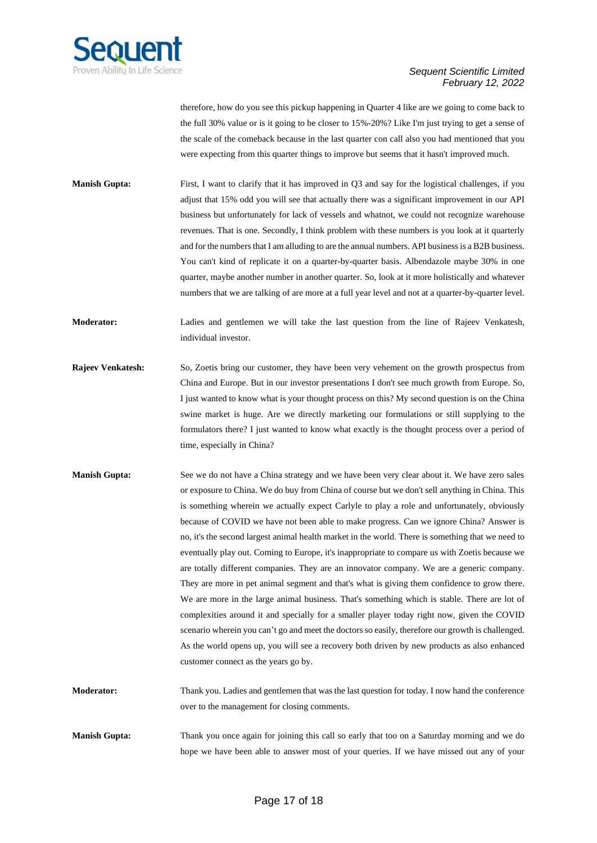

therefore, how do you see this pickup happening in Quarter 4 like are we going to come back to the full 30% value or is it going to be closer to 15%-20%? Like I'm just trying to get a sense of the scale of the comeback because in the last quarter con call also you had mentioned that you were expecting from this quarter things to improve but seems that it hasn't improved much.

**Manish Gupta:** First, I want to clarify that it has improved in Q3 and say for the logistical challenges, if you adjust that 15% odd you will see that actually there was a significant improvement in our API business but unfortunately for lack of vessels and whatnot, we could not recognize warehouse revenues. That is one. Secondly, I think problem with these numbers is you look at it quarterly and for the numbers that I am alluding to are the annual numbers. API business is a B2B business. You can't kind of replicate it on a quarter-by-quarter basis. Albendazole maybe 30% in one quarter, maybe another number in another quarter. So, look at it more holistically and whatever numbers that we are talking of are more at a full year level and not at a quarter-by-quarter level.

**Moderator:** Ladies and gentlemen we will take the last question from the line of Rajeev Venkatesh, individual investor.

- **Rajeev Venkatesh:** So, Zoetis bring our customer, they have been very vehement on the growth prospectus from China and Europe. But in our investor presentations I don't see much growth from Europe. So, I just wanted to know what is your thought process on this? My second question is on the China swine market is huge. Are we directly marketing our formulations or still supplying to the formulators there? I just wanted to know what exactly is the thought process over a period of time, especially in China?
- **Manish Gupta:** See we do not have a China strategy and we have been very clear about it. We have zero sales or exposure to China. We do buy from China of course but we don't sell anything in China. This is something wherein we actually expect Carlyle to play a role and unfortunately, obviously because of COVID we have not been able to make progress. Can we ignore China? Answer is no, it's the second largest animal health market in the world. There is something that we need to eventually play out. Coming to Europe, it's inappropriate to compare us with Zoetis because we are totally different companies. They are an innovator company. We are a generic company. They are more in pet animal segment and that's what is giving them confidence to grow there. We are more in the large animal business. That's something which is stable. There are lot of complexities around it and specially for a smaller player today right now, given the COVID scenario wherein you can't go and meet the doctors so easily, therefore our growth is challenged. As the world opens up, you will see a recovery both driven by new products as also enhanced customer connect as the years go by.

**Moderator:** Thank you. Ladies and gentlemen that was the last question for today. I now hand the conference over to the management for closing comments.

**Manish Gupta:** Thank you once again for joining this call so early that too on a Saturday morning and we do hope we have been able to answer most of your queries. If we have missed out any of your